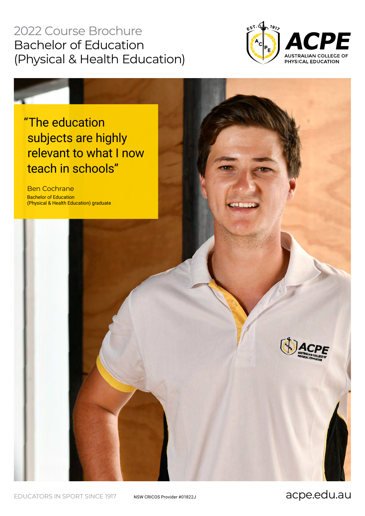# 2022 Course Brochure Bachelor of Education (Physical & Health Education)



# "The education subjects are highly relevant to what I now teach in schools"

Ben Cochrane Bachelor of Education (Physical & Health Education) graduate



EDUCATORS IN SPORT SINCE 1917 NSW CRICOS Provider #01822J **acpe.edu.au**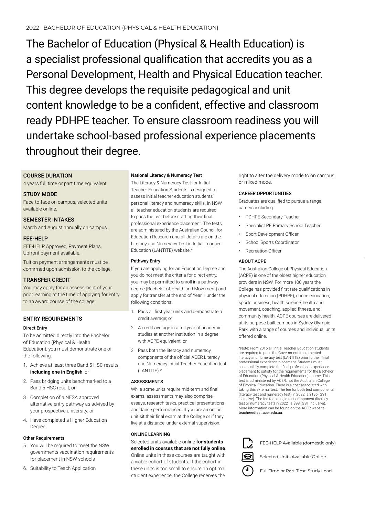The Bachelor of Education (Physical & Health Education) is a specialist professional qualification that accredits you as a Personal Development, Health and Physical Education teacher. This degree develops the requisite pedagogical and unit content knowledge to be a confident, effective and classroom ready PDHPE teacher. To ensure classroom readiness you will undertake school-based professional experience placements throughout their degree.

# COURSE DURATION

4 years full time or part time equivalent.

### STUDY MODE

Face-to-face on campus, selected units available online.

SEMESTER INTAKES

March and August annually on campus.

### FEE-HELP

FEE-HELP Approved, Payment Plans, Upfront payment available.

Tuition payment arrangements must be confirmed upon admission to the college.

# TRANSFER CREDIT

You may apply for an assessment of your prior learning at the time of applying for entry to an award course of the college.

# ENTRY REQUIREMENTS

#### Direct Entry

To be admitted directly into the Bachelor of Education (Physical & Health Education), you must demonstrate one of the following:

- 1. Achieve at least three Band 5 HSC results, **including one in English**; or
- 2. Pass bridging units benchmarked to a Band 5 HSC result; or
- 3. Completion of a NESA approved alternative entry pathway as advised by your prospective university; or
- 4. Have completed a Higher Education Degree.

#### Other Requirements

- 5. You will be required to meet the NSW governments vaccination requirements for placement in NSW schools
- 6. Suitability to Teach Application

#### National Literacy & Numeracy Test

The Literacy & Numeracy Test for Initial Teacher Education Students is designed to assess initial teacher education students' personal literacy and numeracy skills. In NSW all teacher education students are required to pass the test before starting their final professional experience placement. The tests are administered by the Australian Council for Education Research and all details are on the Literacy and Numeracy Test in Initial Teacher Education (LANTITE) website.\*

#### Pathway Entry

If you are applying for an Education Degree and you do not meet the criteria for direct entry, you may be permitted to enroll in a pathway degree (Bachelor of Health and Movement) and apply for transfer at the end of Year 1 under the following conditions:

- 1. Pass all first year units and demonstrate a credit average; or
- 2. A credit average in a full year of academic studies at another institution in a degree with ACPE-equivalent; or
- 3. Pass both the literacy and numeracy components of the official ACER Literacy and Numeracy Initial Teacher Education test (LANTITE).\*

#### ASSESSMENTS

While some units require mid-term and final exams, assessments may also comprise essays, research tasks, practical presentations and dance performances. If you are an online unit sit their final exam at the College or if they live at a distance, under external supervision.

### ONLINE LEARNING

Selected units available online **for students enrolled in courses that are not fully online**. Online units in these courses are taught with a viable cohort of students. If the cohort in these units is too small to ensure an optimal student experience, the College reserves the

right to alter the delivery mode to on campus or mixed mode.

#### CAREER OPPORTUNITIES

Graduates are qualified to pursue a range careers including:

- PDHPE Secondary Teacher
- Specialist PE Primary School Teacher
- Sport Development Officer
- School Sports Coordinator
- Recreation Officer

### ABOUT ACPE

The Australian College of Physical Education (ACPE) is one of the oldest higher education providers in NSW. For more 100 years the College has provided first rate qualifications in physical education (PDHPE), dance education, sports business, health science, health and movement, coaching, applied fitness, and community health. ACPE courses are delivered at its purpose-built campus in Sydney Olympic Park, with a range of courses and individual units offered online.

\*Note: From 2016 all Initial Teacher Education students are required to pass the Government implemented literacy and numeracy test (LANTITE) prior to their final professional experience placement. Students must successfully complete the final professional experience placement to satisfy for the requirements for the Bachelor of Education (Physical & Health Education) course. This test is administered by ACER, not the Australian College of Physical Education. There is a cost associated with taking this external test. The fee for both test components (literacy test and numeracy test) in 2022 is \$196 (GST inclusive). The fee for a single test component (literacy test or numeracy test) in 2022 is \$98 (GST inclusive). More information can be found on the ACER website: teacheredtest.acer.edu.au.



FEE-HELP Available (domestic only)

Selected Units Available Online



Full Time or Part Time Study Load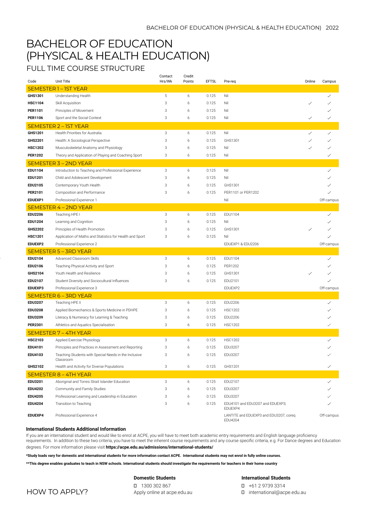# BACHELOR OF EDUCATION (PHYSICAL & HEALTH EDUCATION)

FULL TIME COURSE STRUCTURE

| Code                         | Unit Title                                                         | Contact<br>Hrs/Wk | Credit<br>Points | <b>EFTSL</b> | Pre-req                                           | Online | Campus       |  |  |
|------------------------------|--------------------------------------------------------------------|-------------------|------------------|--------------|---------------------------------------------------|--------|--------------|--|--|
| SEMESTER 1-1ST YEAR          |                                                                    |                   |                  |              |                                                   |        |              |  |  |
| GHS1301                      | Understanding Health                                               | 5                 | 6                | 0.125        | Nil                                               |        | ✓            |  |  |
| <b>HSC1104</b>               | Skill Acquisition                                                  | 3                 | 6                | 0.125        | Nil                                               |        |              |  |  |
| PER1101                      | Principles of Movement                                             | 3                 | 6                | 0.125        | Nil                                               |        |              |  |  |
| <b>PER1106</b>               | Sport and the Social Context                                       |                   | 6                | 0.125        | Nil                                               | ✓      |              |  |  |
| SEMESTER 2-1ST YEAR          |                                                                    |                   |                  |              |                                                   |        |              |  |  |
| GHS1201                      | Health Priorities for Australia                                    | 3                 | 6                | 0.125        | Nil                                               | ✓      | $\checkmark$ |  |  |
| GHS2201                      | Health: A Sociological Perspective                                 | 3                 | 6                | 0.125        | GHS1301                                           | ✓      | ✓            |  |  |
| <b>HSC1202</b>               | Musculoskeletal Anatomy and Physiology                             | 3                 | 6                | 0.125        | Nil                                               |        |              |  |  |
| <b>PER1202</b>               | Theory and Application of Playing and Coaching Sport               | 3                 | 6                | 0.125        | Nil                                               |        | ✓            |  |  |
|                              | <b>SEMESTER 3 – 2ND YEAR</b>                                       |                   |                  |              |                                                   |        |              |  |  |
| EDU1104                      | Introduction to Teaching and Professional Experience               | 3                 | 6                | 0.125        | Nil                                               |        | ✓            |  |  |
| EDU1201                      | Child and Adolescent Development                                   | 3                 | 6                | 0.125        | Nil                                               |        |              |  |  |
| EDU2105                      | Contemporary Youth Health                                          | 3                 | 6                | 0.125        | GHS1301                                           |        |              |  |  |
| <b>PER2101</b>               | Composition and Performance                                        | 3                 | 6                | 0.125        | PER1101 or PER1202                                |        |              |  |  |
| EDUEXP1                      | Professional Experience 1                                          |                   |                  |              | Nil                                               |        | Off-campus   |  |  |
| SEMESTER 4 - 2ND YEAR        |                                                                    |                   |                  |              |                                                   |        |              |  |  |
| <b>EDU2206</b>               | Teaching HPE I                                                     | 3                 | 6                | 0.125        | EDU1104                                           |        | $\checkmark$ |  |  |
| <b>EDU1204</b>               | Learning and Cognition                                             | 3                 | 6                | 0.125        | Nil                                               |        |              |  |  |
| <b>GHS2202</b>               | Principles of Health Promotion                                     | 3                 | 6                | 0.125        | GHS1301                                           |        |              |  |  |
| <b>HSC1201</b>               | Application of Maths and Statistics for Health and Sport           | 3                 | 6                | 0.125        | Nil                                               |        |              |  |  |
| EDUEXP2                      | Professional Experience 2                                          |                   |                  |              | EDUEXP1 & EDU2206                                 |        | Off-campus   |  |  |
|                              | <b>SEMESTER 5 - 3RD YEAR</b>                                       |                   |                  |              |                                                   |        |              |  |  |
| EDU2104                      | Advanced Classroom Skills                                          | 3                 | 6                | 0.125        | EDU1104                                           |        | ✓            |  |  |
| EDU2106                      | Teaching Physical Activity and Sport                               | 3                 | 6                | 0.125        | PER1202                                           |        |              |  |  |
| GHS2104                      | Youth Health and Resilience                                        | 3                 | 6                | 0.125        | GHS1301                                           |        |              |  |  |
| EDU2107                      | Student Diversity and Sociocultural Influences                     | 3                 | 6                | 0.125        | EDU2101                                           |        |              |  |  |
| EDUEXP3                      | Professional Experience 3                                          |                   |                  |              | EDUEXP2                                           |        | Off-campus   |  |  |
|                              | SEMESTER 6 - 3RD YEAR                                              |                   |                  |              |                                                   |        |              |  |  |
| EDU3207                      | Teaching HPE II                                                    | 3                 | 6                | 0.125        | EDU2206                                           |        | ✓            |  |  |
| <b>EDU3208</b>               | Applied Biomechanics & Sports Medicine in PDHPE                    | 3                 | 6                | 0.125        | <b>HSC1202</b>                                    |        |              |  |  |
| <b>EDU3209</b>               | Literacy & Numeracy for Learning & Teaching                        | 3                 | 6                | 0.125        | EDU2206                                           |        |              |  |  |
| PER2301                      | Athletics and Aquatics Specialisation                              | 3                 | 6                | 0.125        | <b>HSC1202</b>                                    |        |              |  |  |
| <b>SEMESTER 7 - 4TH YEAR</b> |                                                                    |                   |                  |              |                                                   |        |              |  |  |
| <b>HSC2103</b>               | Applied Exercise Physiology                                        | 3                 | 6                | 0.125        | <b>HSC1202</b>                                    |        | $\checkmark$ |  |  |
| EDU4101                      | Principles and Practices in Assessment and Reporting               | 3                 | 6                | 0.125        | EDU3207                                           |        |              |  |  |
| EDU4103                      | Teaching Students with Special Needs in the Inclusive<br>Classroom | 3                 | 6                | 0.125        | EDU3207                                           |        | ✓            |  |  |
| GHS2102                      | Health and Activity for Diverse Populations                        | 3                 | 6                | 0.125        | GHS1201                                           |        | $\checkmark$ |  |  |
| <b>SEMESTER 8 - 4TH YEAR</b> |                                                                    |                   |                  |              |                                                   |        |              |  |  |
| EDU3201                      | Aboriginal and Torres Strait Islander Education                    | 3                 | 6                | 0.125        | EDU2107                                           |        | $\checkmark$ |  |  |
| <b>EDU4202</b>               | Community and Family Studies                                       | 3                 | 6                | 0.125        | EDU3207                                           |        |              |  |  |
| <b>EDU4205</b>               | Professional Learning and Leadership in Education                  | 3                 | 6                | 0.125        | EDU3207                                           |        |              |  |  |
| <b>EDU4204</b>               | Transition to Teaching                                             | 3                 | 6                | 0.125        | EDU4101 and EDU3207 and EDUEXP3;<br>EDUEXP4       |        |              |  |  |
| EDUEXP4                      | Professional Experience 4                                          |                   |                  |              | LANTITE and EDUEXP3 and EDU3207; coreq<br>EDU4204 |        | Off-campus   |  |  |

#### **International Students Additional Information**

If you are an international student and would like to enrol at ACPE, you will have to meet both academic entry requirements and English language proficiency requirements. In addition to these two criteria, you have to meet the inherent course requirements and any course specific criteria, e.g. For Dance degrees and Education

degrees. For more information please visit **https://acpe.edu.au/admissions/international-students/**

**\*Study loads vary for domestic and international students for more information contact ACPE. International students may not enrol in fully online courses.** 

**\*\*This degree enables graduates to teach in NSW schools. International students should investigate the requirements for teachers in their home country**

#### **Domestic Students**

HOW TO APPLY?

1300 302 867 Apply online at acpe.edu.au **International Students** +61 2 9739 3314

international@acpe.edu.au